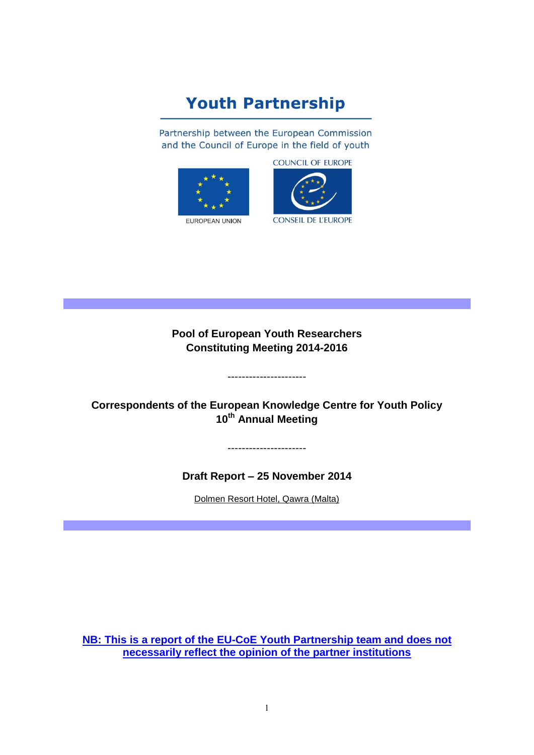# **Youth Partnership**

Partnership between the European Commission and the Council of Europe in the field of youth







**Pool of European Youth Researchers Constituting Meeting 2014-2016**

**Correspondents of the European Knowledge Centre for Youth Policy 10th Annual Meeting**

----------------------

----------------------

**Draft Report – 25 November 2014**

Dolmen Resort Hotel, Qawra (Malta)

**NB: This is a report of the EU-CoE Youth Partnership team and does not necessarily reflect the opinion of the partner institutions**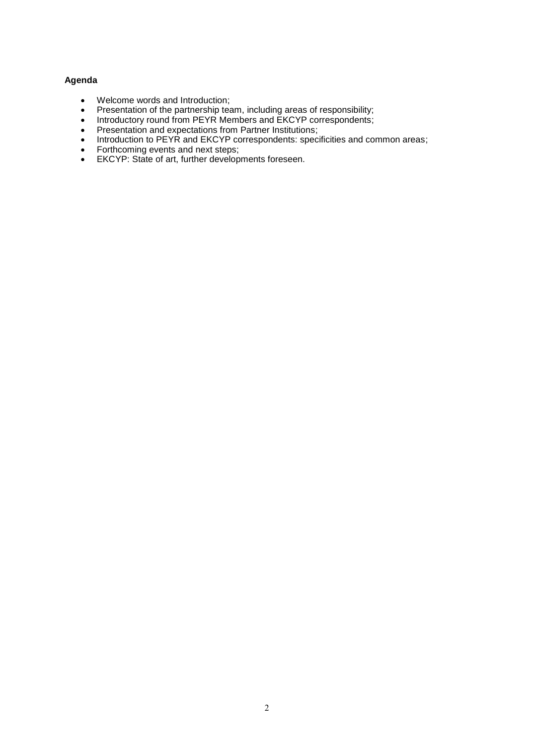# **Agenda**

- Welcome words and Introduction;
- Presentation of the partnership team, including areas of responsibility;
- Introductory round from PEYR Members and EKCYP correspondents;
- Presentation and expectations from Partner Institutions;
- Introduction to PEYR and EKCYP correspondents: specificities and common areas;
- Forthcoming events and next steps;
- EKCYP: State of art, further developments foreseen.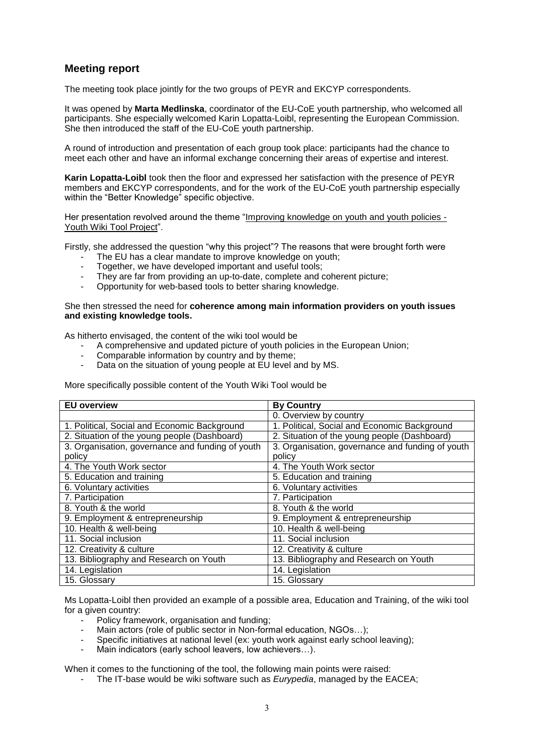# **Meeting report**

The meeting took place jointly for the two groups of PEYR and EKCYP correspondents.

It was opened by **Marta Medlinska**, coordinator of the EU-CoE youth partnership, who welcomed all participants. She especially welcomed Karin Lopatta-Loibl, representing the European Commission. She then introduced the staff of the EU-CoE youth partnership.

A round of introduction and presentation of each group took place: participants had the chance to meet each other and have an informal exchange concerning their areas of expertise and interest.

**Karin Lopatta-Loibl** took then the floor and expressed her satisfaction with the presence of PEYR members and EKCYP correspondents, and for the work of the EU-CoE youth partnership especially within the "Better Knowledge" specific objective.

Her presentation revolved around the theme "Improving knowledge on youth and youth policies - Youth Wiki Tool Project".

Firstly, she addressed the question "why this project"? The reasons that were brought forth were

- The EU has a clear mandate to improve knowledge on youth:
- Together, we have developed important and useful tools;
- They are far from providing an up-to-date, complete and coherent picture;
- Opportunity for web-based tools to better sharing knowledge.

#### She then stressed the need for **coherence among main information providers on youth issues and existing knowledge tools.**

As hitherto envisaged, the content of the wiki tool would be

- A comprehensive and updated picture of youth policies in the European Union;
- Comparable information by country and by theme;
- Data on the situation of young people at EU level and by MS.

More specifically possible content of the Youth Wiki Tool would be

| <b>EU overview</b>                               | <b>By Country</b>                                |
|--------------------------------------------------|--------------------------------------------------|
|                                                  | 0. Overview by country                           |
| 1. Political, Social and Economic Background     | 1. Political, Social and Economic Background     |
| 2. Situation of the young people (Dashboard)     | 2. Situation of the young people (Dashboard)     |
| 3. Organisation, governance and funding of youth | 3. Organisation, governance and funding of youth |
| policy                                           | policy                                           |
| 4. The Youth Work sector                         | 4. The Youth Work sector                         |
| 5. Education and training                        | 5. Education and training                        |
| 6. Voluntary activities                          | 6. Voluntary activities                          |
| 7. Participation                                 | 7. Participation                                 |
| 8. Youth & the world                             | 8. Youth & the world                             |
| 9. Employment & entrepreneurship                 | 9. Employment & entrepreneurship                 |
| 10. Health & well-being                          | 10. Health & well-being                          |
| 11. Social inclusion                             | 11. Social inclusion                             |
| 12. Creativity & culture                         | 12. Creativity & culture                         |
| 13. Bibliography and Research on Youth           | 13. Bibliography and Research on Youth           |
| 14. Legislation                                  | 14. Legislation                                  |
| 15. Glossary                                     | 15. Glossary                                     |

Ms Lopatta-Loibl then provided an example of a possible area, Education and Training, of the wiki tool for a given country:

- Policy framework, organisation and funding;
- Main actors (role of public sector in Non-formal education, NGOs...);
- Specific initiatives at national level (ex: youth work against early school leaving);
- Main indicators (early school leavers, low achievers...).

When it comes to the functioning of the tool, the following main points were raised:

- The IT-base would be wiki software such as *Eurypedia*, managed by the EACEA;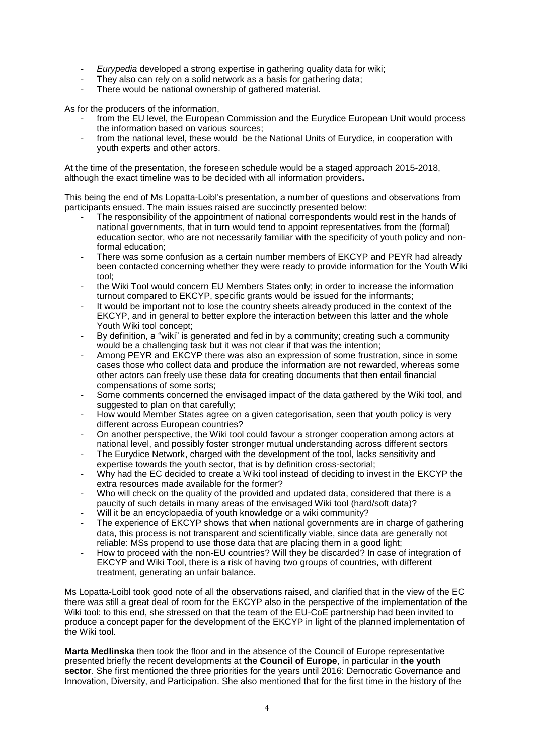- *Eurypedia* developed a strong expertise in gathering quality data for wiki;
- They also can rely on a solid network as a basis for gathering data;
- There would be national ownership of gathered material.

As for the producers of the information,

- from the EU level, the European Commission and the Eurydice European Unit would process the information based on various sources;
- from the national level, these would be the National Units of Eurydice, in cooperation with youth experts and other actors.

At the time of the presentation, the foreseen schedule would be a staged approach 2015-2018, although the exact timeline was to be decided with all information providers**.**

This being the end of Ms Lopatta-Loibl's presentation, a number of questions and observations from participants ensued. The main issues raised are succinctly presented below:

- The responsibility of the appointment of national correspondents would rest in the hands of national governments, that in turn would tend to appoint representatives from the (formal) education sector, who are not necessarily familiar with the specificity of youth policy and nonformal education;
- There was some confusion as a certain number members of EKCYP and PEYR had already been contacted concerning whether they were ready to provide information for the Youth Wiki tool;
- the Wiki Tool would concern EU Members States only; in order to increase the information turnout compared to EKCYP, specific grants would be issued for the informants;
- It would be important not to lose the country sheets already produced in the context of the EKCYP, and in general to better explore the interaction between this latter and the whole Youth Wiki tool concept;
- By definition, a "wiki" is generated and fed in by a community; creating such a community would be a challenging task but it was not clear if that was the intention;
- Among PEYR and EKCYP there was also an expression of some frustration, since in some cases those who collect data and produce the information are not rewarded, whereas some other actors can freely use these data for creating documents that then entail financial compensations of some sorts;
- Some comments concerned the envisaged impact of the data gathered by the Wiki tool, and suggested to plan on that carefully;
- How would Member States agree on a given categorisation, seen that youth policy is very different across European countries?
- On another perspective, the Wiki tool could favour a stronger cooperation among actors at national level, and possibly foster stronger mutual understanding across different sectors
- The Eurydice Network, charged with the development of the tool, lacks sensitivity and expertise towards the youth sector, that is by definition cross-sectorial;
- Why had the EC decided to create a Wiki tool instead of deciding to invest in the EKCYP the extra resources made available for the former?
- Who will check on the quality of the provided and updated data, considered that there is a paucity of such details in many areas of the envisaged Wiki tool (hard/soft data)?
- Will it be an encyclopaedia of youth knowledge or a wiki community?
- The experience of EKCYP shows that when national governments are in charge of gathering data, this process is not transparent and scientifically viable, since data are generally not reliable: MSs propend to use those data that are placing them in a good light;
- How to proceed with the non-EU countries? Will they be discarded? In case of integration of EKCYP and Wiki Tool, there is a risk of having two groups of countries, with different treatment, generating an unfair balance.

Ms Lopatta-Loibl took good note of all the observations raised, and clarified that in the view of the EC there was still a great deal of room for the EKCYP also in the perspective of the implementation of the Wiki tool: to this end, she stressed on that the team of the EU-CoE partnership had been invited to produce a concept paper for the development of the EKCYP in light of the planned implementation of the Wiki tool.

**Marta Medlinska** then took the floor and in the absence of the Council of Europe representative presented briefly the recent developments at **the Council of Europe**, in particular in **the youth sector**. She first mentioned the three priorities for the years until 2016: Democratic Governance and Innovation, Diversity, and Participation. She also mentioned that for the first time in the history of the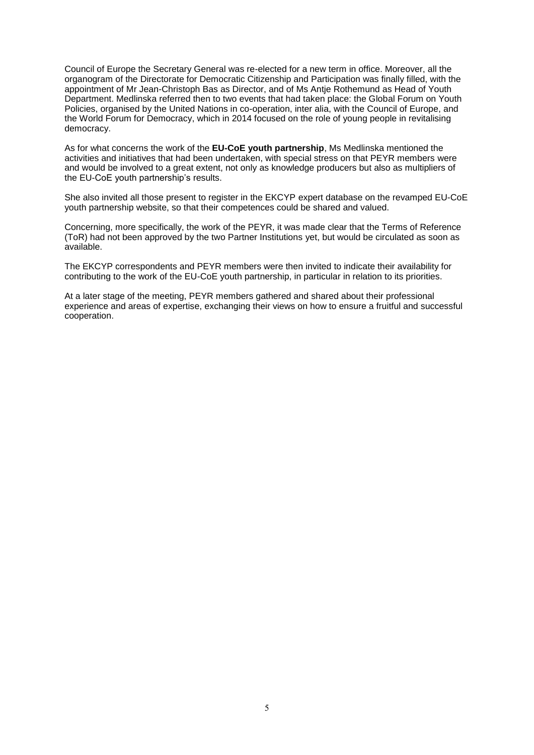Council of Europe the Secretary General was re-elected for a new term in office. Moreover, all the organogram of the Directorate for Democratic Citizenship and Participation was finally filled, with the appointment of Mr Jean-Christoph Bas as Director, and of Ms Antje Rothemund as Head of Youth Department. Medlinska referred then to two events that had taken place: the Global Forum on Youth Policies, organised by the United Nations in co-operation, inter alia, with the Council of Europe, and the World Forum for Democracy, which in 2014 focused on the role of young people in revitalising democracy.

As for what concerns the work of the **EU-CoE youth partnership**, Ms Medlinska mentioned the activities and initiatives that had been undertaken, with special stress on that PEYR members were and would be involved to a great extent, not only as knowledge producers but also as multipliers of the EU-CoE youth partnership's results.

She also invited all those present to register in the EKCYP expert database on the revamped EU-CoE youth partnership website, so that their competences could be shared and valued.

Concerning, more specifically, the work of the PEYR, it was made clear that the Terms of Reference (ToR) had not been approved by the two Partner Institutions yet, but would be circulated as soon as available.

The EKCYP correspondents and PEYR members were then invited to indicate their availability for contributing to the work of the EU-CoE youth partnership, in particular in relation to its priorities.

At a later stage of the meeting, PEYR members gathered and shared about their professional experience and areas of expertise, exchanging their views on how to ensure a fruitful and successful cooperation.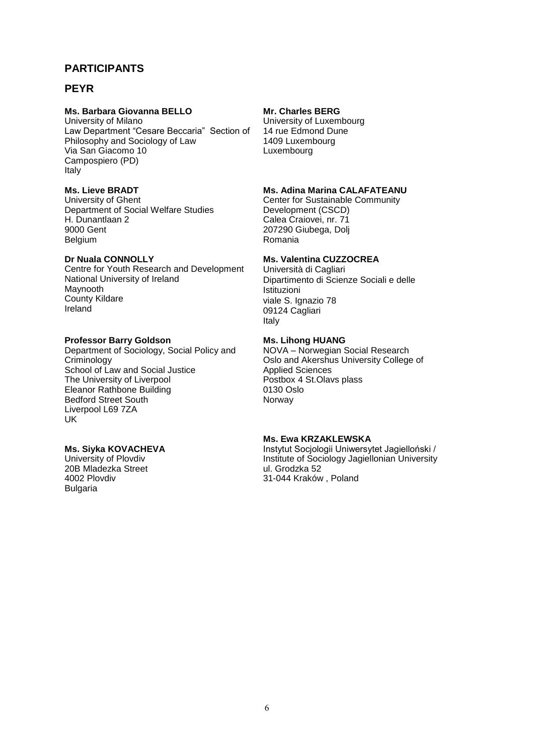# **PARTICIPANTS**

# **PEYR**

### **Ms. Barbara Giovanna BELLO**

University of Milano Law Department "Cesare Beccaria" Section of Philosophy and Sociology of Law Via San Giacomo 10 Campospiero (PD) Italy

# **Ms. Lieve BRADT**

University of Ghent Department of Social Welfare Studies H. Dunantlaan 2 9000 Gent Belgium

### **Dr Nuala CONNOLLY**

Centre for Youth Research and Development National University of Ireland Maynooth County Kildare Ireland

# **Professor Barry Goldson**

Department of Sociology, Social Policy and Criminology School of Law and Social Justice The University of Liverpool Eleanor Rathbone Building Bedford Street South Liverpool L69 7ZA UK

# **Ms. Siyka KOVACHEVA**

University of Plovdiv 20B Mladezka Street 4002 Plovdiv **Bulgaria** 

### **Mr. Charles BERG**

University of Luxembourg 14 rue Edmond Dune 1409 Luxembourg Luxembourg

### **Ms. Adina Marina CALAFATEANU**

Center for Sustainable Community Development (CSCD) Calea Craiovei, nr. 71 207290 Giubega, Dolj Romania

# **Ms. Valentina CUZZOCREA**

Università di Cagliari Dipartimento di Scienze Sociali e delle **Istituzioni** viale S. Ignazio 78 09124 Cagliari Italy

### **Ms. Lihong HUANG**

NOVA – Norwegian Social Research Oslo and Akershus University College of Applied Sciences Postbox 4 St.Olavs plass 0130 Oslo Norway

### **Ms. Ewa KRZAKLEWSKA**

Instytut Socjologii Uniwersytet Jagielloński / Institute of Sociology Jagiellonian University ul. Grodzka 52 31-044 Kraków , Poland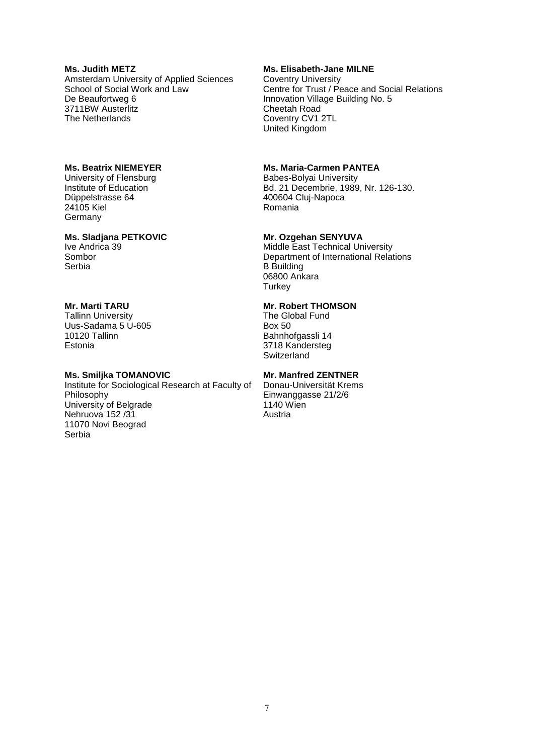### **Ms. Judith METZ** Amsterdam University of Applied Sciences School of Social Work and Law De Beaufortweg 6 3711BW Austerlitz The Netherlands

### **Ms. Beatrix NIEMEYER**

University of Flensburg Institute of Education Düppelstrasse 64 24105 Kiel **Germany** 

### **Ms. Sladjana PETKOVIC**

Ive Andrica 39 Sombor Serbia

### **Mr. Marti TARU**

Tallinn University Uus-Sadama 5 U-605 10120 Tallinn Estonia

### **Ms. Smiljka TOMANOVIC**

Institute for Sociological Research at Faculty of Philosophy University of Belgrade Nehruova 152 /31 11070 Novi Beograd Serbia

### **Ms. Elisabeth-Jane MILNE**

Coventry University Centre for Trust / Peace and Social Relations Innovation Village Building No. 5 Cheetah Road Coventry CV1 2TL United Kingdom

### **Ms. Maria-Carmen PANTEA**

Babes-Bolyai University Bd. 21 Decembrie, 1989, Nr. 126-130. 400604 Cluj-Napoca Romania

### **Mr. Ozgehan SENYUVA**

Middle East Technical University Department of International Relations B Building 06800 Ankara **Turkey** 

# **Mr. Robert THOMSON**

The Global Fund Box 50 Bahnhofgassli 14 3718 Kandersteg **Switzerland** 

# **Mr. Manfred ZENTNER**

Donau-Universität Krems Einwanggasse 21/2/6 1140 Wien Austria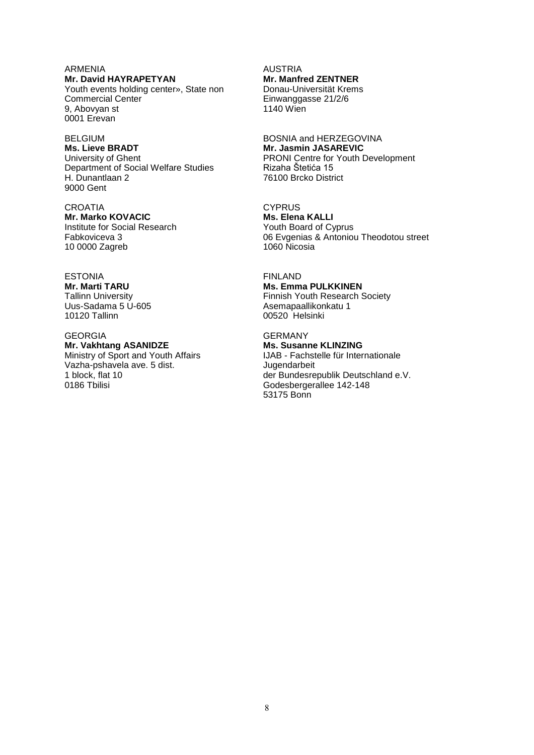ARMENIA **Mr. David HAYRAPETYAN** Youth events holding center», State non Commercial Center 9, Abovyan st 0001 Erevan

BELGIUM **Ms. Lieve BRADT** University of Ghent Department of Social Welfare Studies H. Dunantlaan 2 9000 Gent

**CROATIA Mr. Marko KOVACIC** Institute for Social Research Fabkoviceva 3 10 0000 Zagreb

ESTONIA **Mr. Marti TARU**  Tallinn University Uus-Sadama 5 U-605 10120 Tallinn

GEORGIA **Mr. Vakhtang ASANIDZE**  Ministry of Sport and Youth Affairs Vazha-pshavela ave. 5 dist. 1 block, flat 10 0186 Tbilisi

AUSTRIA **Mr. Manfred ZENTNER**  Donau-Universität Krems Einwanggasse 21/2/6 1140 Wien

BOSNIA and HERZEGOVINA **Mr. Jasmin JASAREVIC** PRONI Centre for Youth Development Rizaha Štetića 15 76100 Brcko District

**CYPRUS Ms. Elena KALLI** Youth Board of Cyprus 06 Evgenias & Antoniou Theodotou street 1060 Nicosia

FINLAND **Ms. Emma PULKKINEN** Finnish Youth Research Society Asemapaallikonkatu 1 00520 Helsinki

GERMANY **Ms. Susanne KLINZING** IJAB - Fachstelle für Internationale Jugendarbeit der Bundesrepublik Deutschland e.V. Godesbergerallee 142-148 53175 Bonn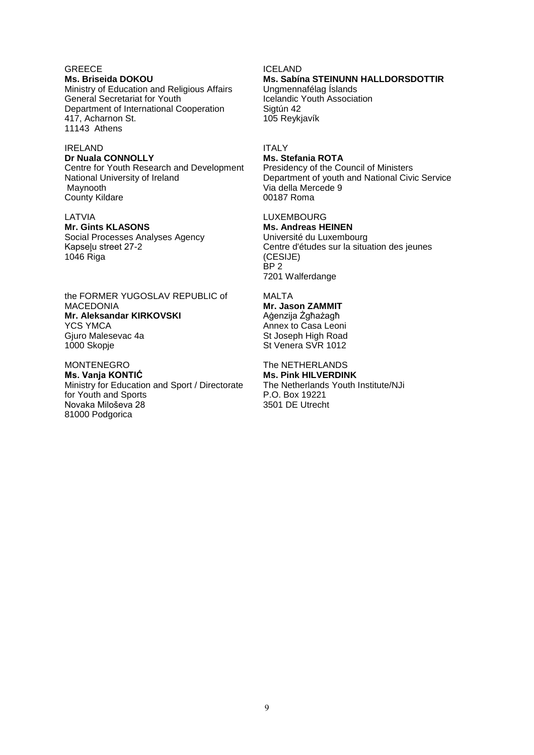# **GREECE**

**Ms. Briseida DOKOU**  Ministry of Education and Religious Affairs General Secretariat for Youth Department of International Cooperation 417, Acharnon St. 11143 Athens

# IRELAND

**Dr Nuala CONNOLLY** Centre for Youth Research and Development National University of Ireland Maynooth County Kildare

### LATVIA

**Mr. Gints KLASONS** Social Processes Analyses Agency Kapseļu street 27-2 1046 Riga

### the FORMER YUGOSLAV REPUBLIC of MACEDONIA **Mr. Aleksandar KIRKOVSKI**  YCS YMCA Gjuro Malesevac 4a 1000 Skopje

MONTENEGRO **Ms. Vanja KONTIĆ** Ministry for Education and Sport / Directorate for Youth and Sports Novaka Miloševa 28 81000 Podgorica

ICELAND **Ms. Sabína STEINUNN HALLDORSDOTTIR** Ungmennafélag Íslands Icelandic Youth Association Sigtún 42 105 Reykjavík

# ITALY

### **Ms. Stefania ROTA**

Presidency of the Council of Ministers Department of youth and National Civic Service Via della Mercede 9 00187 Roma

# LUXEMBOURG

**Ms. Andreas HEINEN**  Université du Luxembourg Centre d'études sur la situation des jeunes (CESIJE) BP 2 7201 Walferdange

MALTA **Mr. Jason ZAMMIT**  Aġenzija Żgħażagħ Annex to Casa Leoni St Joseph High Road St Venera SVR 1012

The NETHERLANDS **Ms. Pink HILVERDINK** The Netherlands Youth Institute/NJi P.O. Box 19221 3501 DE Utrecht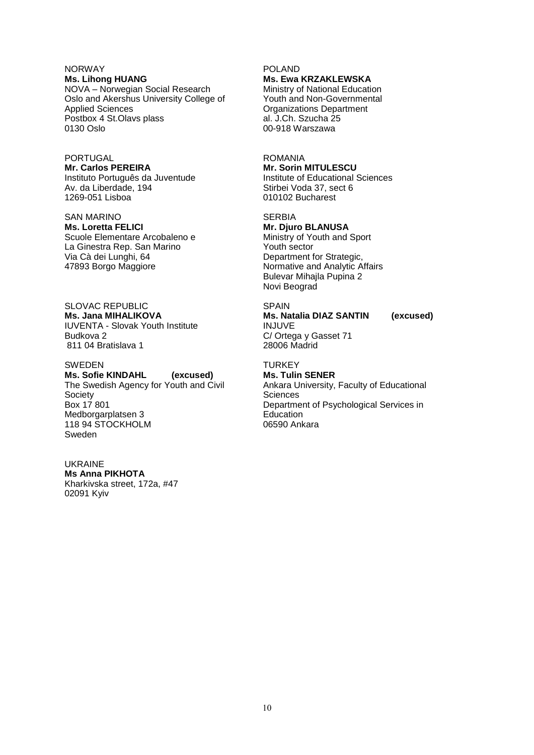# NORWAY

**Ms. Lihong HUANG**  NOVA – Norwegian Social Research Oslo and Akershus University College of Applied Sciences Postbox 4 St.Olavs plass 0130 Oslo

# PORTUGAL **Mr. Carlos PEREIRA** Instituto Português da Juventude

Av. da Liberdade, 194 1269-051 Lisboa

SAN MARINO **Ms. Loretta FELICI** Scuole Elementare Arcobaleno e La Ginestra Rep. San Marino Via Cà dei Lunghi, 64 47893 Borgo Maggiore

SLOVAC REPUBLIC **Ms. Jana MIHALIKOVA**  IUVENTA - Slovak Youth Institute Budkova 2 811 04 Bratislava 1

### SWEDEN

**Ms. Sofie KINDAHL (excused)** The Swedish Agency for Youth and Civil **Society** Box 17 801 Medborgarplatsen 3 118 94 STOCKHOLM Sweden

#### UKRAINE

**Ms Anna PIKHOTA** Kharkivska street, 172a, #47 02091 Kyiv

### POLAND **Ms. Ewa KRZAKLEWSKA**

Ministry of National Education Youth and Non-Governmental Organizations Department al. J.Ch. Szucha 25 00-918 Warszawa

### ROMANIA

**Mr. Sorin MITULESCU**  Institute of Educational Sciences Stirbei Voda 37, sect 6 010102 Bucharest

### **SERBIA**

**Mr. Djuro BLANUSA** Ministry of Youth and Sport Youth sector Department for Strategic, Normative and Analytic Affairs Bulevar Mihajla Pupina 2 Novi Beograd

**SPAIN Ms. Natalia DIAZ SANTIN (excused)** INJUVE C/ Ortega y Gasset 71 28006 Madrid

# **TURKEY**

**Ms. Tulin SENER** Ankara University, Faculty of Educational **Sciences** Department of Psychological Services in Education 06590 Ankara